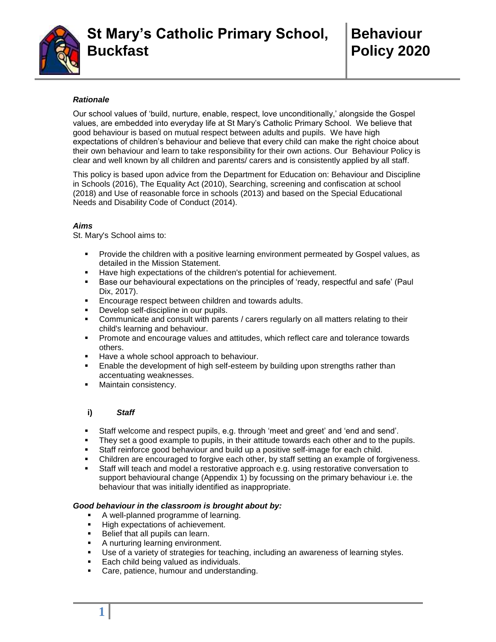

#### *Rationale*

Our school values of 'build, nurture, enable, respect, love unconditionally,' alongside the Gospel values, are embedded into everyday life at St Mary's Catholic Primary School. We believe that good behaviour is based on mutual respect between adults and pupils. We have high expectations of children's behaviour and believe that every child can make the right choice about their own behaviour and learn to take responsibility for their own actions. Our Behaviour Policy is clear and well known by all children and parents/ carers and is consistently applied by all staff.

This policy is based upon advice from the Department for Education on: Behaviour and Discipline in Schools (2016), The Equality Act (2010), Searching, screening and confiscation at school (2018) and Use of reasonable force in schools (2013) and based on the Special Educational Needs and Disability Code of Conduct (2014).

#### *Aims*

St. Mary's School aims to:

- **Provide the children with a positive learning environment permeated by Gospel values, as** detailed in the Mission Statement.
- Have high expectations of the children's potential for achievement.
- Base our behavioural expectations on the principles of 'ready, respectful and safe' (Paul Dix, 2017).
- **Encourage respect between children and towards adults.**
- Develop self-discipline in our pupils.
- Communicate and consult with parents / carers regularly on all matters relating to their child's learning and behaviour.
- Promote and encourage values and attitudes, which reflect care and tolerance towards others.
- Have a whole school approach to behaviour.
- Enable the development of high self-esteem by building upon strengths rather than accentuating weaknesses.
- **Maintain consistency.**

#### **i)** *Staff*

**1**

- Staff welcome and respect pupils, e.g. through 'meet and greet' and 'end and send'.
- They set a good example to pupils, in their attitude towards each other and to the pupils.
- Staff reinforce good behaviour and build up a positive self-image for each child.
- Children are encouraged to forgive each other, by staff setting an example of forgiveness.
- Staff will teach and model a restorative approach e.g. using restorative conversation to support behavioural change (Appendix 1) by focussing on the primary behaviour i.e. the behaviour that was initially identified as inappropriate.

#### *Good behaviour in the classroom is brought about by:*

- A well-planned programme of learning.
- **High expectations of achievement.**
- **Belief that all pupils can learn.**<br>**A** nurturing learning environme
- A nurturing learning environment.
- Use of a variety of strategies for teaching, including an awareness of learning styles.
- **Each child being valued as individuals.**
- **Care, patience, humour and understanding.**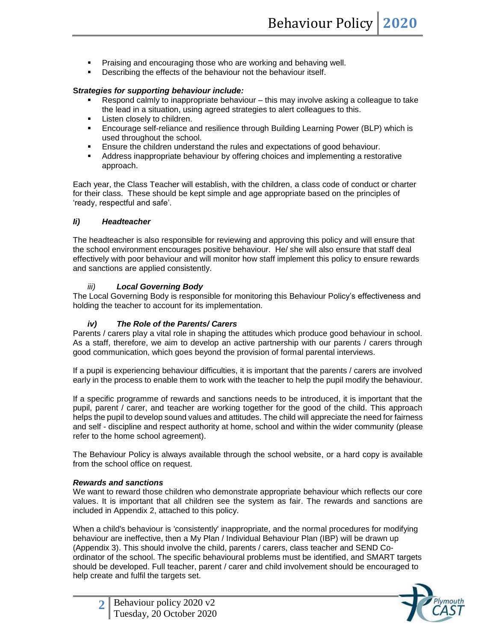- Praising and encouraging those who are working and behaving well.
- Describing the effects of the behaviour not the behaviour itself.

#### **S***trategies for supporting behaviour include:*

- Respond calmly to inappropriate behaviour this may involve asking a colleague to take the lead in a situation, using agreed strategies to alert colleagues to this.
- **Listen closely to children.**
- Encourage self-reliance and resilience through Building Learning Power (BLP) which is used throughout the school.
- **Ensure the children understand the rules and expectations of good behaviour.**
- Address inappropriate behaviour by offering choices and implementing a restorative approach.

Each year, the Class Teacher will establish, with the children, a class code of conduct or charter for their class. These should be kept simple and age appropriate based on the principles of 'ready, respectful and safe'.

#### *Ii) Headteacher*

The headteacher is also responsible for reviewing and approving this policy and will ensure that the school environment encourages positive behaviour. He/ she will also ensure that staff deal effectively with poor behaviour and will monitor how staff implement this policy to ensure rewards and sanctions are applied consistently.

#### *iii) Local Governing Body*

The Local Governing Body is responsible for monitoring this Behaviour Policy's effectiveness and holding the teacher to account for its implementation.

#### *iv) The Role of the Parents/ Carers*

Parents / carers play a vital role in shaping the attitudes which produce good behaviour in school. As a staff, therefore, we aim to develop an active partnership with our parents / carers through good communication, which goes beyond the provision of formal parental interviews.

If a pupil is experiencing behaviour difficulties, it is important that the parents / carers are involved early in the process to enable them to work with the teacher to help the pupil modify the behaviour.

If a specific programme of rewards and sanctions needs to be introduced, it is important that the pupil, parent / carer, and teacher are working together for the good of the child. This approach helps the pupil to develop sound values and attitudes. The child will appreciate the need for fairness and self - discipline and respect authority at home, school and within the wider community (please refer to the home school agreement).

The Behaviour Policy is always available through the school website, or a hard copy is available from the school office on request.

#### *Rewards and sanctions*

We want to reward those children who demonstrate appropriate behaviour which reflects our core values. It is important that all children see the system as fair. The rewards and sanctions are included in Appendix 2, attached to this policy.

When a child's behaviour is 'consistently' inappropriate, and the normal procedures for modifying behaviour are ineffective, then a My Plan / Individual Behaviour Plan (IBP) will be drawn up (Appendix 3). This should involve the child, parents / carers, class teacher and SEND Coordinator of the school. The specific behavioural problems must be identified, and SMART targets should be developed. Full teacher, parent / carer and child involvement should be encouraged to help create and fulfil the targets set.

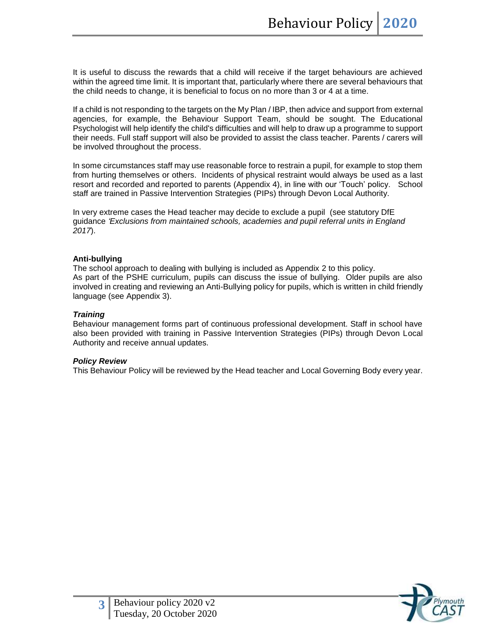It is useful to discuss the rewards that a child will receive if the target behaviours are achieved within the agreed time limit. It is important that, particularly where there are several behaviours that the child needs to change, it is beneficial to focus on no more than 3 or 4 at a time.

If a child is not responding to the targets on the My Plan / IBP, then advice and support from external agencies, for example, the Behaviour Support Team, should be sought. The Educational Psychologist will help identify the child's difficulties and will help to draw up a programme to support their needs. Full staff support will also be provided to assist the class teacher. Parents / carers will be involved throughout the process.

In some circumstances staff may use reasonable force to restrain a pupil, for example to stop them from hurting themselves or others. Incidents of physical restraint would always be used as a last resort and recorded and reported to parents (Appendix 4), in line with our 'Touch' policy. School staff are trained in Passive Intervention Strategies (PIPs) through Devon Local Authority.

In very extreme cases the Head teacher may decide to exclude a pupil (see statutory DfE guidance *'Exclusions from maintained schools, academies and pupil referral units in England 2017*).

#### **Anti-bullying**

The school approach to dealing with bullying is included as Appendix 2 to this policy. As part of the PSHE curriculum, pupils can discuss the issue of bullying. Older pupils are also involved in creating and reviewing an Anti-Bullying policy for pupils, which is written in child friendly language (see Appendix 3).

#### *Training*

Behaviour management forms part of continuous professional development. Staff in school have also been provided with training in Passive Intervention Strategies (PIPs) through Devon Local Authority and receive annual updates.

#### *Policy Review*

This Behaviour Policy will be reviewed by the Head teacher and Local Governing Body every year.

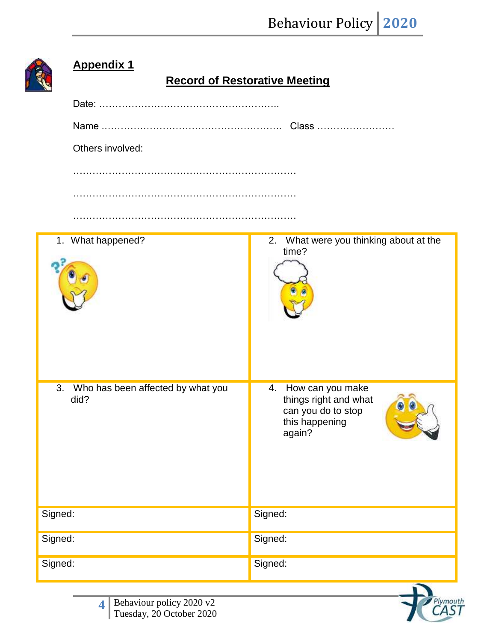# **Appendix 1**

### **Record of Restorative Meeting**

|                                         | Class                                              |  |  |  |  |  |
|-----------------------------------------|----------------------------------------------------|--|--|--|--|--|
| Others involved:                        |                                                    |  |  |  |  |  |
|                                         |                                                    |  |  |  |  |  |
|                                         |                                                    |  |  |  |  |  |
|                                         |                                                    |  |  |  |  |  |
|                                         |                                                    |  |  |  |  |  |
| 1. What happened?                       | What were you thinking about at the<br>2.<br>time? |  |  |  |  |  |
|                                         |                                                    |  |  |  |  |  |
|                                         |                                                    |  |  |  |  |  |
|                                         |                                                    |  |  |  |  |  |
|                                         |                                                    |  |  |  |  |  |
|                                         |                                                    |  |  |  |  |  |
|                                         |                                                    |  |  |  |  |  |
| 3.<br>Who has been affected by what you | How can you make<br>4.                             |  |  |  |  |  |
| did?                                    | things right and what<br>can you do to stop        |  |  |  |  |  |
|                                         | this happening<br>again?                           |  |  |  |  |  |
|                                         |                                                    |  |  |  |  |  |
|                                         |                                                    |  |  |  |  |  |
|                                         |                                                    |  |  |  |  |  |
| Signed:                                 | Signed:                                            |  |  |  |  |  |
|                                         |                                                    |  |  |  |  |  |
| Signed:                                 | Signed:                                            |  |  |  |  |  |
| Signed:                                 | Signed:                                            |  |  |  |  |  |
|                                         |                                                    |  |  |  |  |  |



**4**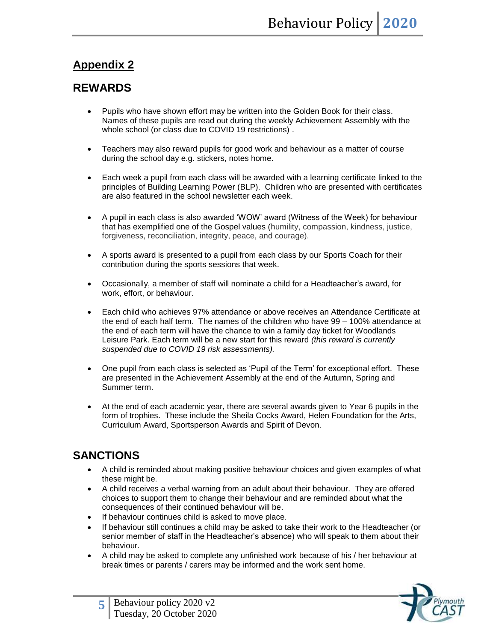### **Appendix 2**

### **REWARDS**

- Pupils who have shown effort may be written into the Golden Book for their class. Names of these pupils are read out during the weekly Achievement Assembly with the whole school (or class due to COVID 19 restrictions) .
- Teachers may also reward pupils for good work and behaviour as a matter of course during the school day e.g. stickers, notes home.
- Each week a pupil from each class will be awarded with a learning certificate linked to the principles of Building Learning Power (BLP).Children who are presented with certificates are also featured in the school newsletter each week.
- A pupil in each class is also awarded 'WOW' award (Witness of the Week) for behaviour that has exemplified one of the Gospel values (humility, compassion, kindness, justice, forgiveness, reconciliation, integrity, peace, and courage).
- A sports award is presented to a pupil from each class by our Sports Coach for their contribution during the sports sessions that week.
- Occasionally, a member of staff will nominate a child for a Headteacher's award, for work, effort, or behaviour.
- Each child who achieves 97% attendance or above receives an Attendance Certificate at the end of each half term. The names of the children who have 99 – 100% attendance at the end of each term will have the chance to win a family day ticket for Woodlands Leisure Park. Each term will be a new start for this reward *(this reward is currently suspended due to COVID 19 risk assessments).*
- One pupil from each class is selected as 'Pupil of the Term' for exceptional effort. These are presented in the Achievement Assembly at the end of the Autumn, Spring and Summer term.
- At the end of each academic year, there are several awards given to Year 6 pupils in the form of trophies. These include the Sheila Cocks Award, Helen Foundation for the Arts, Curriculum Award, Sportsperson Awards and Spirit of Devon.

## **SANCTIONS**

- A child is reminded about making positive behaviour choices and given examples of what these might be.
- A child receives a verbal warning from an adult about their behaviour. They are offered choices to support them to change their behaviour and are reminded about what the consequences of their continued behaviour will be.
- If behaviour continues child is asked to move place.
- If behaviour still continues a child may be asked to take their work to the Headteacher (or senior member of staff in the Headteacher's absence) who will speak to them about their behaviour.
- A child may be asked to complete any unfinished work because of his / her behaviour at break times or parents / carers may be informed and the work sent home.

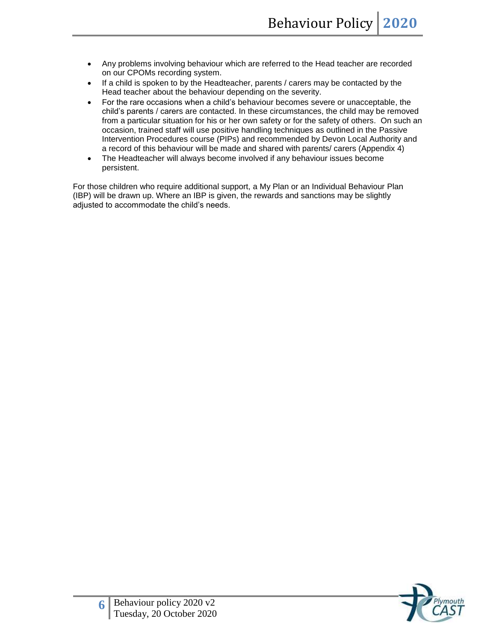- Any problems involving behaviour which are referred to the Head teacher are recorded on our CPOMs recording system.
- If a child is spoken to by the Headteacher, parents / carers may be contacted by the Head teacher about the behaviour depending on the severity.
- For the rare occasions when a child's behaviour becomes severe or unacceptable, the child's parents / carers are contacted. In these circumstances, the child may be removed from a particular situation for his or her own safety or for the safety of others. On such an occasion, trained staff will use positive handling techniques as outlined in the Passive Intervention Procedures course (PIPs) and recommended by Devon Local Authority and a record of this behaviour will be made and shared with parents/ carers (Appendix 4)
- The Headteacher will always become involved if any behaviour issues become persistent.

For those children who require additional support, a My Plan or an Individual Behaviour Plan (IBP) will be drawn up. Where an IBP is given, the rewards and sanctions may be slightly adjusted to accommodate the child's needs.

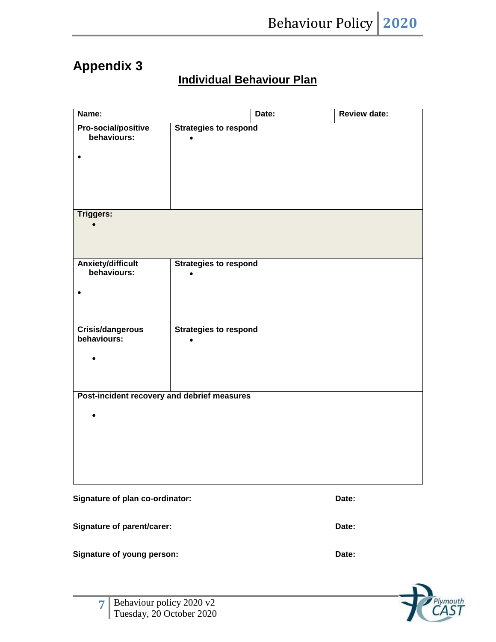# **Appendix 3**

# **Individual Behaviour Plan**

| Name:                                       |                              | Date: | Review date: |
|---------------------------------------------|------------------------------|-------|--------------|
| Pro-social/positive<br>behaviours:          | <b>Strategies to respond</b> |       |              |
| $\bullet$                                   |                              |       |              |
|                                             |                              |       |              |
|                                             |                              |       |              |
| Triggers:                                   |                              |       |              |
|                                             |                              |       |              |
| <b>Anxiety/difficult</b><br>behaviours:     | <b>Strategies to respond</b> |       |              |
|                                             |                              |       |              |
|                                             |                              |       |              |
| Crisis/dangerous                            | <b>Strategies to respond</b> |       |              |
| behaviours:                                 |                              |       |              |
|                                             |                              |       |              |
|                                             |                              |       |              |
| Post-incident recovery and debrief measures |                              |       |              |
|                                             |                              |       |              |
|                                             |                              |       |              |
|                                             |                              |       |              |
|                                             |                              |       |              |
| Signature of plan co-ordinator:             |                              |       | Date:        |

Signature of parent/carer: Date: Date: Date:

**Signature of young person: Date:**

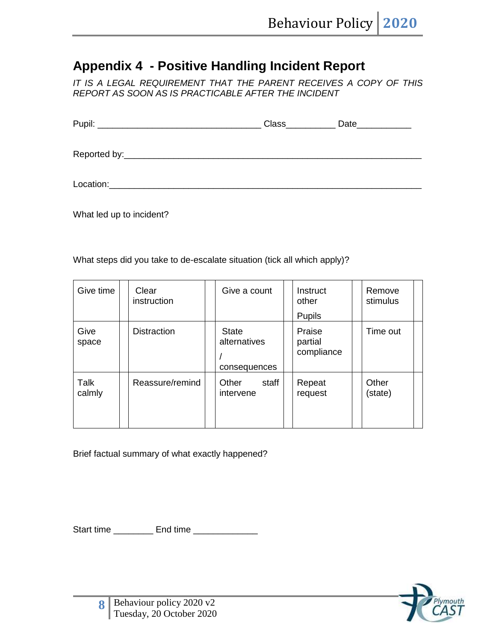# **Appendix 4 - Positive Handling Incident Report**

*IT IS A LEGAL REQUIREMENT THAT THE PARENT RECEIVES A COPY OF THIS REPORT AS SOON AS IS PRACTICABLE AFTER THE INCIDENT*

|           | Class | Date |
|-----------|-------|------|
|           |       |      |
| Location: |       |      |

What led up to incident?

What steps did you take to de-escalate situation (tick all which apply)?

| Give time      | Clear<br>instruction | Give a count                                 | Instruct<br>other<br><b>Pupils</b> | Remove<br>stimulus |  |
|----------------|----------------------|----------------------------------------------|------------------------------------|--------------------|--|
| Give<br>space  | <b>Distraction</b>   | <b>State</b><br>alternatives<br>consequences | Praise<br>partial<br>compliance    | Time out           |  |
| Talk<br>calmly | Reassure/remind      | Other<br>staff<br>intervene                  | Repeat<br>request                  | Other<br>(state)   |  |

Brief factual summary of what exactly happened?

Start time \_\_\_\_\_\_\_\_ End time \_\_\_\_\_\_\_\_\_\_\_\_\_



**8**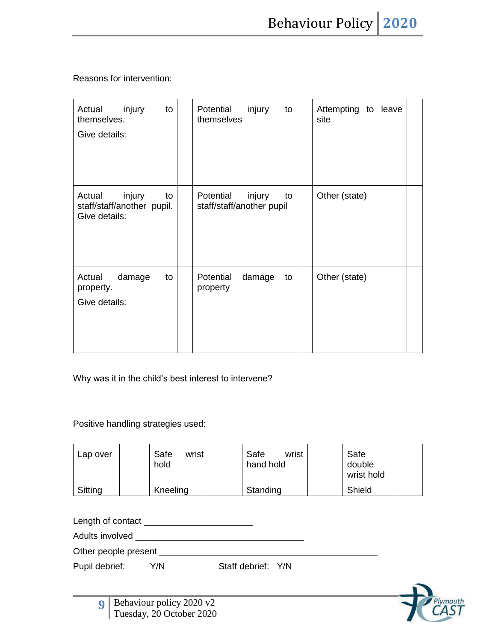Reasons for intervention:

| injury<br>Actual<br>to<br>themselves.<br>Give details:                | Potential<br>injury<br>to<br>themselves                | Attempting to leave<br>site |
|-----------------------------------------------------------------------|--------------------------------------------------------|-----------------------------|
| injury<br>Actual<br>to<br>staff/staff/another pupil.<br>Give details: | injury<br>Potential<br>to<br>staff/staff/another pupil | Other (state)               |
| Actual<br>damage<br>to<br>property.<br>Give details:                  | Potential<br>damage<br>to<br>property                  | Other (state)               |

Why was it in the child's best interest to intervene?

Positive handling strategies used:

| Lap over | Safe     | Safe      | Safe       |
|----------|----------|-----------|------------|
|          | wrist    | wrist     | double     |
|          | hold     | hand hold | wrist hold |
| Sitting  | Kneeling | Standing  | Shield     |

Length of contact \_\_\_\_\_\_\_\_\_\_\_\_\_\_\_\_\_\_\_\_\_\_

Adults involved **Adults** involved

Other people present \_\_\_\_\_\_\_\_\_\_\_\_\_\_\_\_\_\_\_\_\_\_\_\_\_\_\_\_\_\_\_\_\_\_\_\_\_\_\_\_\_\_\_\_

Pupil debrief: Y/N Staff debrief: Y/N

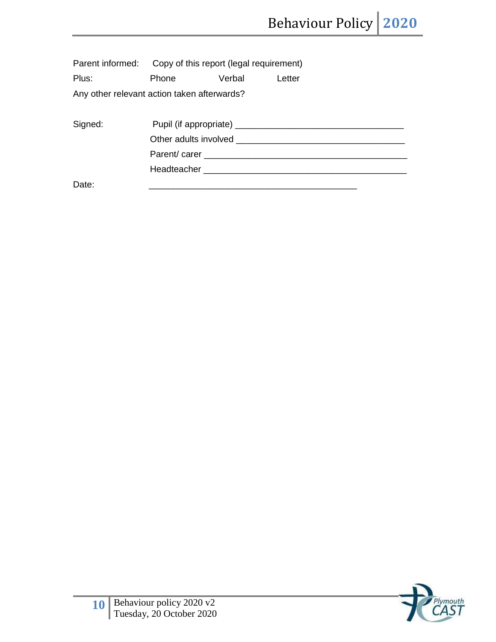| Parent informed: Copy of this report (legal requirement) |       |        |                                                                                                                                                                                                                                |
|----------------------------------------------------------|-------|--------|--------------------------------------------------------------------------------------------------------------------------------------------------------------------------------------------------------------------------------|
| Plus:                                                    | Phone | Verbal | Letter                                                                                                                                                                                                                         |
| Any other relevant action taken afterwards?              |       |        |                                                                                                                                                                                                                                |
|                                                          |       |        |                                                                                                                                                                                                                                |
| Signed:                                                  |       |        |                                                                                                                                                                                                                                |
|                                                          |       |        | Other adults involved a state of the state of the state of the state of the state of the state of the state of the state of the state of the state of the state of the state of the state of the state of the state of the sta |
|                                                          |       |        |                                                                                                                                                                                                                                |
|                                                          |       |        | Headteacher Manual Manual Manual Manual Manual Manual Manual Manual Manual Manual Manual Manual Manual Manual                                                                                                                  |
| Date:                                                    |       |        |                                                                                                                                                                                                                                |

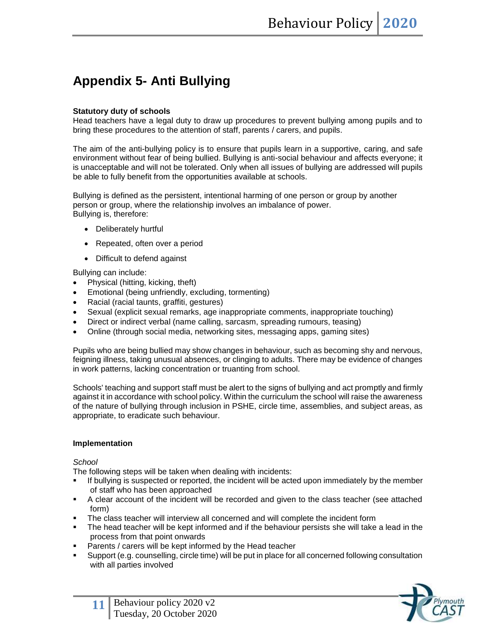# **Appendix 5- Anti Bullying**

#### **Statutory duty of schools**

Head teachers have a legal duty to draw up procedures to prevent bullying among pupils and to bring these procedures to the attention of staff, parents / carers, and pupils.

The aim of the anti-bullying policy is to ensure that pupils learn in a supportive, caring, and safe environment without fear of being bullied. Bullying is anti-social behaviour and affects everyone; it is unacceptable and will not be tolerated. Only when all issues of bullying are addressed will pupils be able to fully benefit from the opportunities available at schools.

Bullying is defined as the persistent, intentional harming of one person or group by another person or group, where the relationship involves an imbalance of power. Bullying is, therefore:

- Deliberately hurtful
- Repeated, often over a period
- Difficult to defend against

Bullying can include:

- Physical (hitting, kicking, theft)
- Emotional (being unfriendly, excluding, tormenting)
- Racial (racial taunts, graffiti, gestures)
- Sexual (explicit sexual remarks, age inappropriate comments, inappropriate touching)
- Direct or indirect verbal (name calling, sarcasm, spreading rumours, teasing)
- Online (through social media, networking sites, messaging apps, gaming sites)

Pupils who are being bullied may show changes in behaviour, such as becoming shy and nervous, feigning illness, taking unusual absences, or clinging to adults. There may be evidence of changes in work patterns, lacking concentration or truanting from school.

Schools' teaching and support staff must be alert to the signs of bullying and act promptly and firmly against it in accordance with school policy. Within the curriculum the school will raise the awareness of the nature of bullying through inclusion in PSHE, circle time, assemblies, and subject areas, as appropriate, to eradicate such behaviour.

#### **Implementation**

*School*

The following steps will be taken when dealing with incidents:

- If bullying is suspected or reported, the incident will be acted upon immediately by the member of staff who has been approached
- A clear account of the incident will be recorded and given to the class teacher (see attached form)
- The class teacher will interview all concerned and will complete the incident form
- **The head teacher will be kept informed and if the behaviour persists she will take a lead in the** process from that point onwards
- Parents / carers will be kept informed by the Head teacher
- Support (e.g. counselling, circle time) will be put in place for all concerned following consultation with all parties involved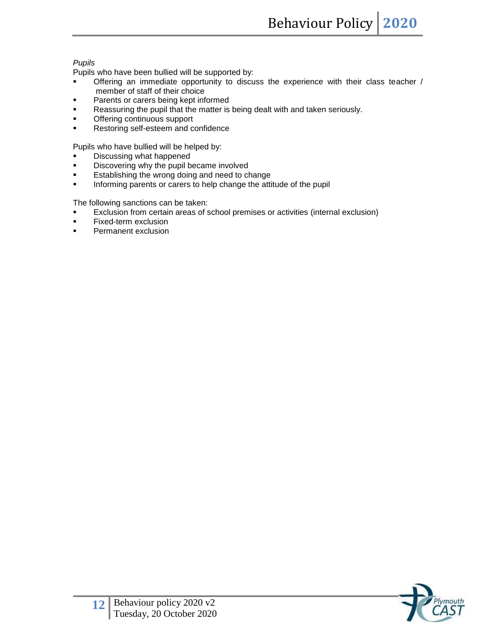#### *Pupils*

Pupils who have been bullied will be supported by:

- Offering an immediate opportunity to discuss the experience with their class teacher / member of staff of their choice
- Parents or carers being kept informed
- **Reassuring the pupil that the matter is being dealt with and taken seriously.**
- **•** Offering continuous support
- **Restoring self-esteem and confidence**

Pupils who have bullied will be helped by:

- Discussing what happened
- Discovering why the pupil became involved
- **Establishing the wrong doing and need to change**
- **Informing parents or carers to help change the attitude of the pupil**

The following sanctions can be taken:

- Exclusion from certain areas of school premises or activities (internal exclusion)
- **Fixed-term exclusion**
- **Permanent exclusion**

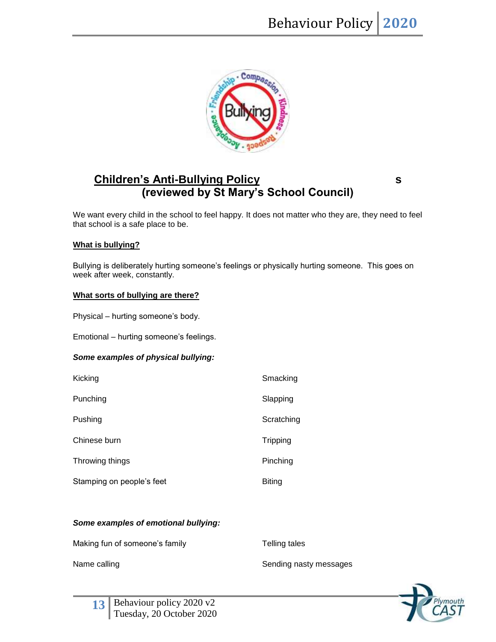

### **Children's Anti-Bullying Policy s (reviewed by St Mary's School Council)**

We want every child in the school to feel happy. It does not matter who they are, they need to feel that school is a safe place to be.

#### **What is bullying?**

Bullying is deliberately hurting someone's feelings or physically hurting someone. This goes on week after week, constantly.

#### **What sorts of bullying are there?**

Physical – hurting someone's body.

Emotional – hurting someone's feelings.

#### *Some examples of physical bullying:*

| Kicking                   | Smacking   |
|---------------------------|------------|
| Punching                  | Slapping   |
| Pushing                   | Scratching |
| Chinese burn              | Tripping   |
| Throwing things           | Pinching   |
| Stamping on people's feet | Biting     |

#### *Some examples of emotional bullying:*

Making fun of someone's family

Telling tales

Name calling

Sending nasty messages

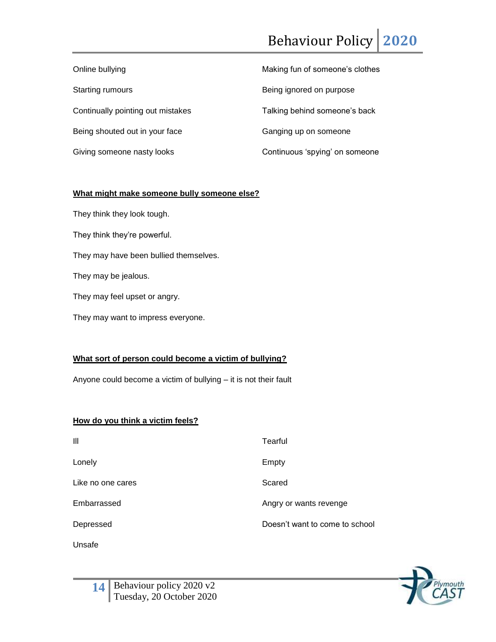# Behaviour Policy **2020**

| Online bullying                   | Making fun of someone's clothes |
|-----------------------------------|---------------------------------|
| <b>Starting rumours</b>           | Being ignored on purpose        |
| Continually pointing out mistakes | Talking behind someone's back   |
| Being shouted out in your face    | Ganging up on someone           |
| Giving someone nasty looks        | Continuous 'spying' on someone  |

#### **What might make someone bully someone else?**

They think they look tough.

They think they're powerful.

They may have been bullied themselves.

They may be jealous.

They may feel upset or angry.

They may want to impress everyone.

#### **What sort of person could become a victim of bullying?**

Anyone could become a victim of bullying – it is not their fault

#### **How do you think a victim feels?**

| $\mathbf{III}$    | Tearful                        |
|-------------------|--------------------------------|
| Lonely            | Empty                          |
| Like no one cares | Scared                         |
| Embarrassed       | Angry or wants revenge         |
| Depressed         | Doesn't want to come to school |

Unsafe

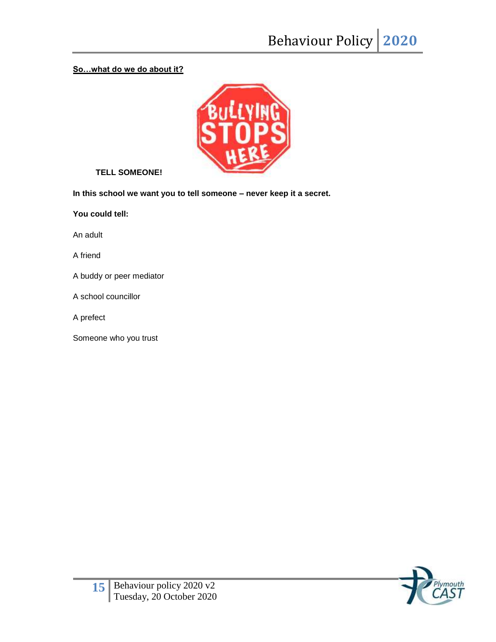#### **So…what do we do about it?**



#### **TELL SOMEONE!**

**In this school we want you to tell someone – never keep it a secret.** 

**You could tell:**

An adult

A friend

A buddy or peer mediator

A school councillor

A prefect

Someone who you trust

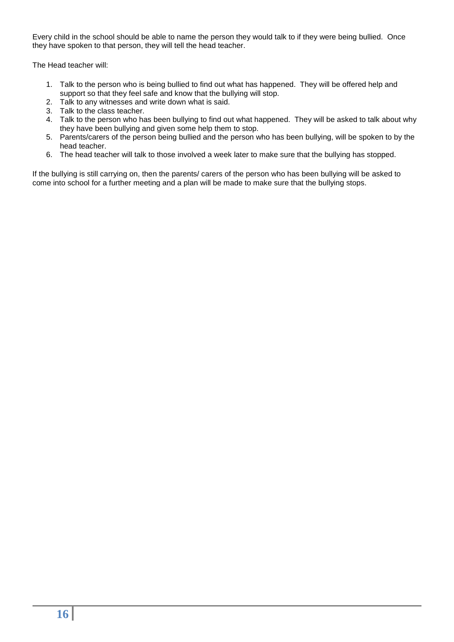Every child in the school should be able to name the person they would talk to if they were being bullied. Once they have spoken to that person, they will tell the head teacher.

The Head teacher will:

- 1. Talk to the person who is being bullied to find out what has happened. They will be offered help and support so that they feel safe and know that the bullying will stop.
- 2. Talk to any witnesses and write down what is said.
- 3. Talk to the class teacher.
- 4. Talk to the person who has been bullying to find out what happened. They will be asked to talk about why they have been bullying and given some help them to stop.
- 5. Parents/carers of the person being bullied and the person who has been bullying, will be spoken to by the head teacher.
- 6. The head teacher will talk to those involved a week later to make sure that the bullying has stopped.

If the bullying is still carrying on, then the parents/ carers of the person who has been bullying will be asked to come into school for a further meeting and a plan will be made to make sure that the bullying stops.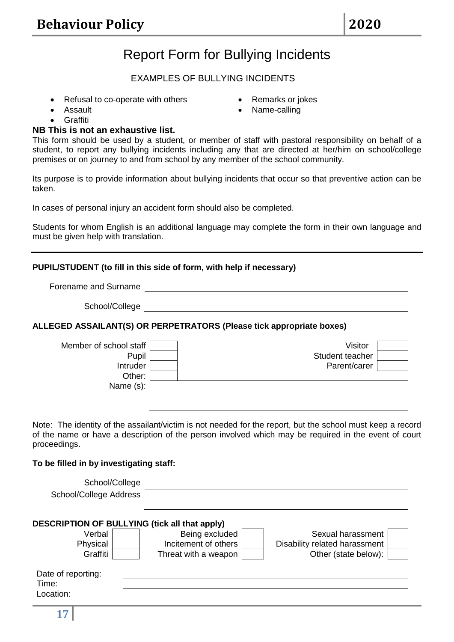# Report Form for Bullying Incidents

#### EXAMPLES OF BULLYING INCIDENTS

- Refusal to co-operate with others Remarks or jokes
	-
	- Assault **Name-calling Name-calling**
- **Graffiti**

#### **NB This is not an exhaustive list.**

This form should be used by a student, or member of staff with pastoral responsibility on behalf of a student, to report any bullying incidents including any that are directed at her/him on school/college premises or on journey to and from school by any member of the school community.

Its purpose is to provide information about bullying incidents that occur so that preventive action can be taken.

In cases of personal injury an accident form should also be completed.

Students for whom English is an additional language may complete the form in their own language and must be given help with translation.

#### **PUPIL/STUDENT (to fill in this side of form, with help if necessary)**

Forename and Surname

School/College

#### **ALLEGED ASSAILANT(S) OR PERPETRATORS (Please tick appropriate boxes)**

| Member of school staff | Visitor         |  |
|------------------------|-----------------|--|
| Pupil                  | Student teacher |  |
| Intruder               | Parent/carer    |  |
| Other:                 |                 |  |
| Name (s):              |                 |  |

Note: The identity of the assailant/victim is not needed for the report, but the school must keep a record of the name or have a description of the person involved which may be required in the event of court proceedings.

#### **To be filled in by investigating staff:**

| School/College<br>School/College Address      |                      |                               |  |
|-----------------------------------------------|----------------------|-------------------------------|--|
| DESCRIPTION OF BULLYING (tick all that apply) |                      |                               |  |
| Verbal                                        | Being excluded       | Sexual harassment             |  |
| Physical                                      | Incitement of others | Disability related harassment |  |
| Graffiti                                      | Threat with a weapon | Other (state below):          |  |
| Date of reporting:<br>Time:<br>Location:      |                      |                               |  |
|                                               |                      |                               |  |